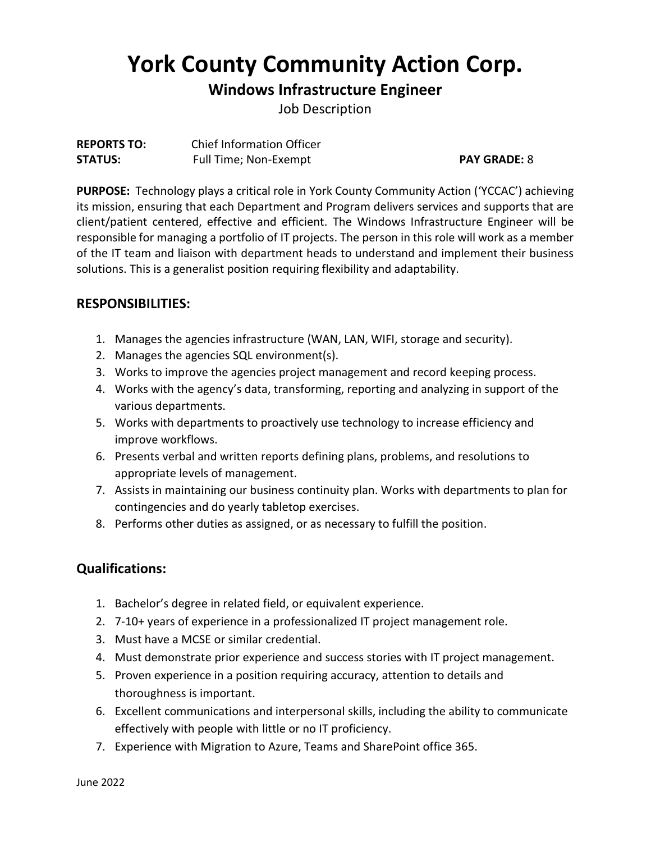# **York County Community Action Corp.**

## **Windows Infrastructure Engineer**

Job Description

| <b>REPORTS TO:</b> | <b>Chief Information Officer</b> |
|--------------------|----------------------------------|
| <b>STATUS:</b>     | Full Time; Non-Exempt            |

#### **PAY GRADE: 8**

**PURPOSE:** Technology plays a critical role in York County Community Action ('YCCAC') achieving its mission, ensuring that each Department and Program delivers services and supports that are client/patient centered, effective and efficient. The Windows Infrastructure Engineer will be responsible for managing a portfolio of IT projects. The person in this role will work as a member of the IT team and liaison with department heads to understand and implement their business solutions. This is a generalist position requiring flexibility and adaptability.

## **RESPONSIBILITIES:**

- 1. Manages the agencies infrastructure (WAN, LAN, WIFI, storage and security).
- 2. Manages the agencies SQL environment(s).
- 3. Works to improve the agencies project management and record keeping process.
- 4. Works with the agency's data, transforming, reporting and analyzing in support of the various departments.
- 5. Works with departments to proactively use technology to increase efficiency and improve workflows.
- 6. Presents verbal and written reports defining plans, problems, and resolutions to appropriate levels of management.
- 7. Assists in maintaining our business continuity plan. Works with departments to plan for contingencies and do yearly tabletop exercises.
- 8. Performs other duties as assigned, or as necessary to fulfill the position.

## **Qualifications:**

- 1. Bachelor's degree in related field, or equivalent experience.
- 2. 7-10+ years of experience in a professionalized IT project management role.
- 3. Must have a MCSE or similar credential.
- 4. Must demonstrate prior experience and success stories with IT project management.
- 5. Proven experience in a position requiring accuracy, attention to details and thoroughness is important.
- 6. Excellent communications and interpersonal skills, including the ability to communicate effectively with people with little or no IT proficiency.
- 7. Experience with Migration to Azure, Teams and SharePoint office 365.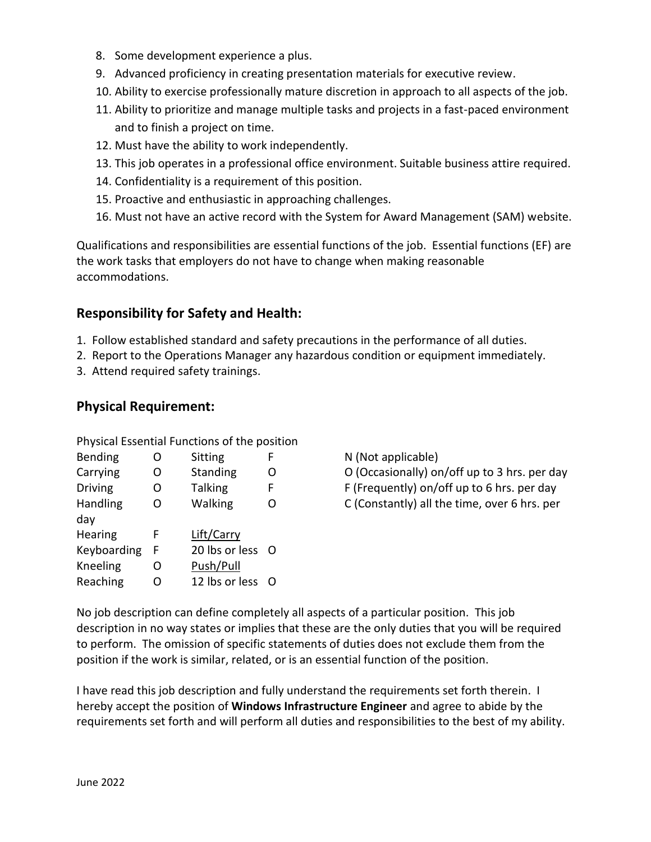- 8. Some development experience a plus.
- 9. Advanced proficiency in creating presentation materials for executive review.
- 10. Ability to exercise professionally mature discretion in approach to all aspects of the job.
- 11. Ability to prioritize and manage multiple tasks and projects in a fast-paced environment and to finish a project on time.
- 12. Must have the ability to work independently.
- 13. This job operates in a professional office environment. Suitable business attire required.
- 14. Confidentiality is a requirement of this position.
- 15. Proactive and enthusiastic in approaching challenges.
- 16. Must not have an active record with the System for Award Management (SAM) website.

Qualifications and responsibilities are essential functions of the job. Essential functions (EF) are the work tasks that employers do not have to change when making reasonable accommodations.

### **Responsibility for Safety and Health:**

- 1. Follow established standard and safety precautions in the performance of all duties.
- 2. Report to the Operations Manager any hazardous condition or equipment immediately.
- 3. Attend required safety trainings.

### **Physical Requirement:**

| <b>Bending</b> | O | Sitting          | F |
|----------------|---|------------------|---|
| Carrying       | O | Standing         | Ω |
| <b>Driving</b> | O | <b>Talking</b>   | F |
| Handling       | O | Walking          | O |
| day            |   |                  |   |
| Hearing        | F | Lift/Carry       |   |
| Keyboarding    | F | 20 lbs or less O |   |
| Kneeling       | O | Push/Pull        |   |
| Reaching       | O | 12 lbs or less   | O |

Physical Essential Functions of the position

N (Not applicable) O (Occasionally) on/off up to 3 hrs. per day  $F$  (Frequently) on/off up to 6 hrs. per day

C (Constantly) all the time, over 6 hrs. per

No job description can define completely all aspects of a particular position. This job description in no way states or implies that these are the only duties that you will be required to perform. The omission of specific statements of duties does not exclude them from the position if the work is similar, related, or is an essential function of the position.

I have read this job description and fully understand the requirements set forth therein. I hereby accept the position of **Windows Infrastructure Engineer** and agree to abide by the requirements set forth and will perform all duties and responsibilities to the best of my ability.